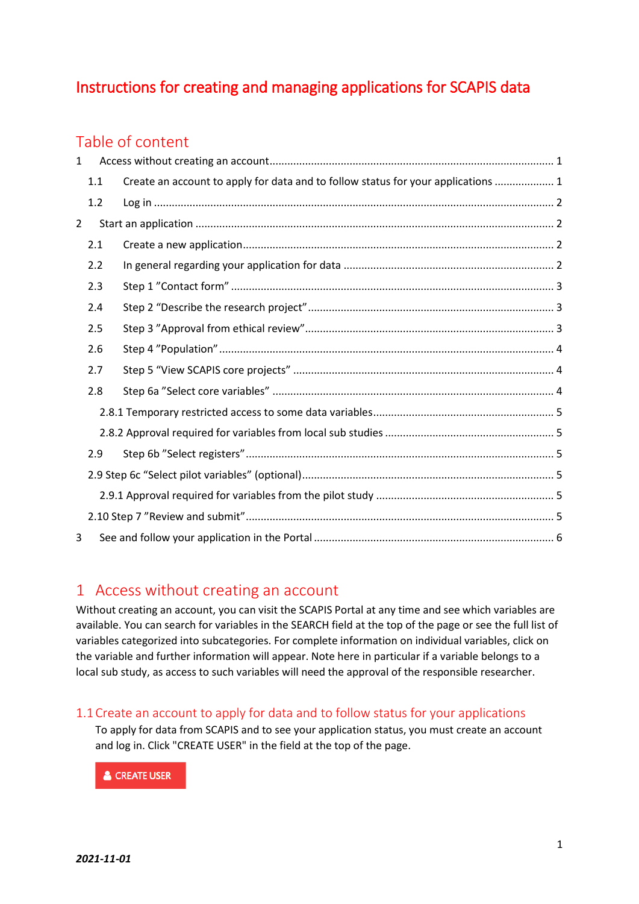# Instructions for creating and managing applications for SCAPIS data

# Table of content

| 1              |     |                                                                                   |  |  |  |  |
|----------------|-----|-----------------------------------------------------------------------------------|--|--|--|--|
|                | 1.1 | Create an account to apply for data and to follow status for your applications  1 |  |  |  |  |
|                | 1.2 |                                                                                   |  |  |  |  |
| $\overline{2}$ |     |                                                                                   |  |  |  |  |
|                | 2.1 |                                                                                   |  |  |  |  |
|                | 2.2 |                                                                                   |  |  |  |  |
|                | 2.3 |                                                                                   |  |  |  |  |
|                | 2.4 |                                                                                   |  |  |  |  |
|                | 2.5 |                                                                                   |  |  |  |  |
|                | 2.6 |                                                                                   |  |  |  |  |
|                | 2.7 |                                                                                   |  |  |  |  |
|                | 2.8 |                                                                                   |  |  |  |  |
|                |     |                                                                                   |  |  |  |  |
|                |     |                                                                                   |  |  |  |  |
|                | 2.9 |                                                                                   |  |  |  |  |
|                |     |                                                                                   |  |  |  |  |
|                |     |                                                                                   |  |  |  |  |
|                |     |                                                                                   |  |  |  |  |
| 3              |     |                                                                                   |  |  |  |  |

## <span id="page-0-0"></span>1 Access without creating an account

Without creating an account, you can visit the SCAPIS Portal at any time and see which variables are available. You can search for variables in the SEARCH field at the top of the page or see the full list of variables categorized into subcategories. For complete information on individual variables, click on the variable and further information will appear. Note here in particular if a variable belongs to a local sub study, as access to such variables will need the approval of the responsible researcher.

## <span id="page-0-1"></span>1.1Create an account to apply for data and to follow status for your applications

To apply for data from SCAPIS and to see your application status, you must create an account and log in. Click "CREATE USER" in the field at the top of the page.

**& CREATE USER**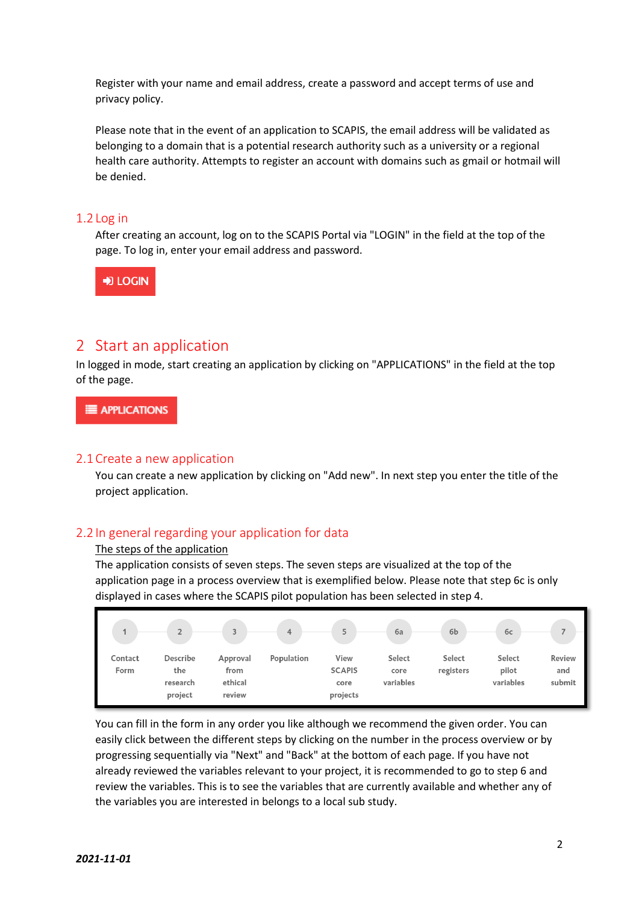Register with your name and email address, create a password and accept terms of use and privacy policy.

Please note that in the event of an application to SCAPIS, the email address will be validated as belonging to a domain that is a potential research authority such as a university or a regional health care authority. Attempts to register an account with domains such as gmail or hotmail will be denied.

## <span id="page-1-0"></span>1.2 Log in

After creating an account, log on to the SCAPIS Portal via "LOGIN" in the field at the top of the page. To log in, enter your email address and password.



## <span id="page-1-1"></span>2 Start an application

In logged in mode, start creating an application by clicking on "APPLICATIONS" in the field at the top of the page.

E APPLICATIONS

### <span id="page-1-2"></span>2.1Create a new application

You can create a new application by clicking on "Add new". In next step you enter the title of the project application.

## <span id="page-1-3"></span>2.2 In general regarding your application for data

#### The steps of the application

The application consists of seven steps. The seven steps are visualized at the top of the application page in a process overview that is exemplified below. Please note that step 6c is only displayed in cases where the SCAPIS pilot population has been selected in step 4.

| 4               | $\mathcal{L}$<br>∠                     | 3                                     | $\overline{4}$ | 局<br>ر                                    | 6a                          | 6b                  | 6c                           |                         |
|-----------------|----------------------------------------|---------------------------------------|----------------|-------------------------------------------|-----------------------------|---------------------|------------------------------|-------------------------|
| Contact<br>Form | Describe<br>the<br>research<br>project | Approval<br>from<br>ethical<br>review | Population     | View<br><b>SCAPIS</b><br>core<br>projects | Select<br>core<br>variables | Select<br>registers | Select<br>pilot<br>variables | Review<br>and<br>submit |

You can fill in the form in any order you like although we recommend the given order. You can easily click between the different steps by clicking on the number in the process overview or by progressing sequentially via "Next" and "Back" at the bottom of each page. If you have not already reviewed the variables relevant to your project, it is recommended to go to step 6 and review the variables. This is to see the variables that are currently available and whether any of the variables you are interested in belongs to a local sub study.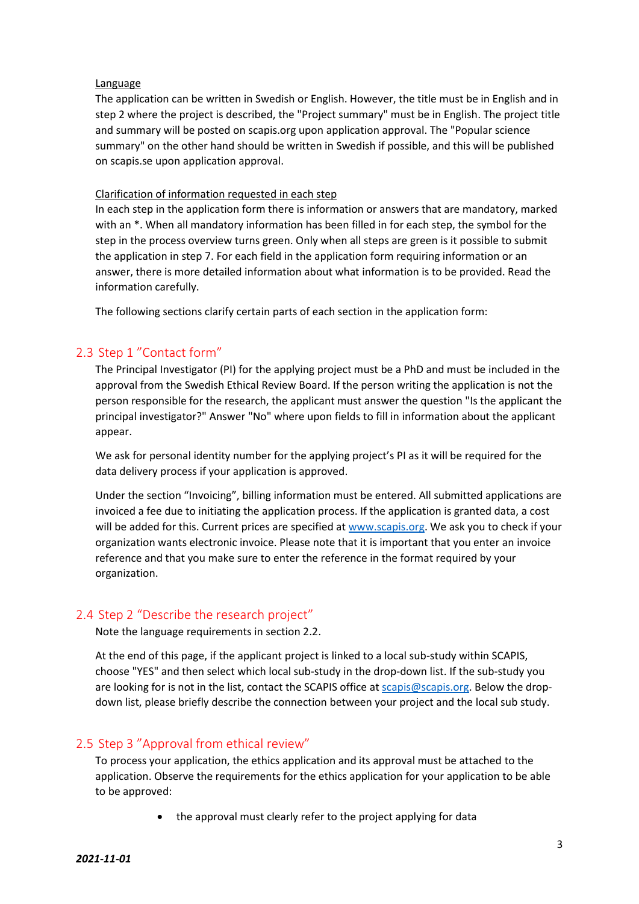#### Language

The application can be written in Swedish or English. However, the title must be in English and in step 2 where the project is described, the "Project summary" must be in English. The project title and summary will be posted on scapis.org upon application approval. The "Popular science summary" on the other hand should be written in Swedish if possible, and this will be published on scapis.se upon application approval.

#### Clarification of information requested in each step

In each step in the application form there is information or answers that are mandatory, marked with an \*. When all mandatory information has been filled in for each step, the symbol for the step in the process overview turns green. Only when all steps are green is it possible to submit the application in step 7. For each field in the application form requiring information or an answer, there is more detailed information about what information is to be provided. Read the information carefully.

The following sections clarify certain parts of each section in the application form:

## 2.3 Step 1 "Contact form"

<span id="page-2-0"></span>The Principal Investigator (PI) for the applying project must be a PhD and must be included in the approval from the Swedish Ethical Review Board. If the person writing the application is not the person responsible for the research, the applicant must answer the question "Is the applicant the principal investigator?" Answer "No" where upon fields to fill in information about the applicant appear.

We ask for personal identity number for the applying project's PI as it will be required for the data delivery process if your application is approved.

Under the section "Invoicing", billing information must be entered. All submitted applications are invoiced a fee due to initiating the application process. If the application is granted data, a cost will be added for this. Current prices are specified at [www.scapis.org.](http://www.scapis.org/) We ask you to check if your organization wants electronic invoice. Please note that it is important that you enter an invoice reference and that you make sure to enter the reference in the format required by your organization.

## 2.4 Step 2 "Describe the research project"

<span id="page-2-1"></span>Note the language requirements in section 2.2.

At the end of this page, if the applicant project is linked to a local sub-study within SCAPIS, choose "YES" and then select which local sub-study in the drop-down list. If the sub-study you are looking for is not in the list, contact the SCAPIS office at [scapis@scapis.org.](mailto:scapis@scapis.org) Below the dropdown list, please briefly describe the connection between your project and the local sub study.

## <span id="page-2-2"></span>2.5 Step 3 "Approval from ethical review"

To process your application, the ethics application and its approval must be attached to the application. Observe the requirements for the ethics application for your application to be able to be approved:

the approval must clearly refer to the project applying for data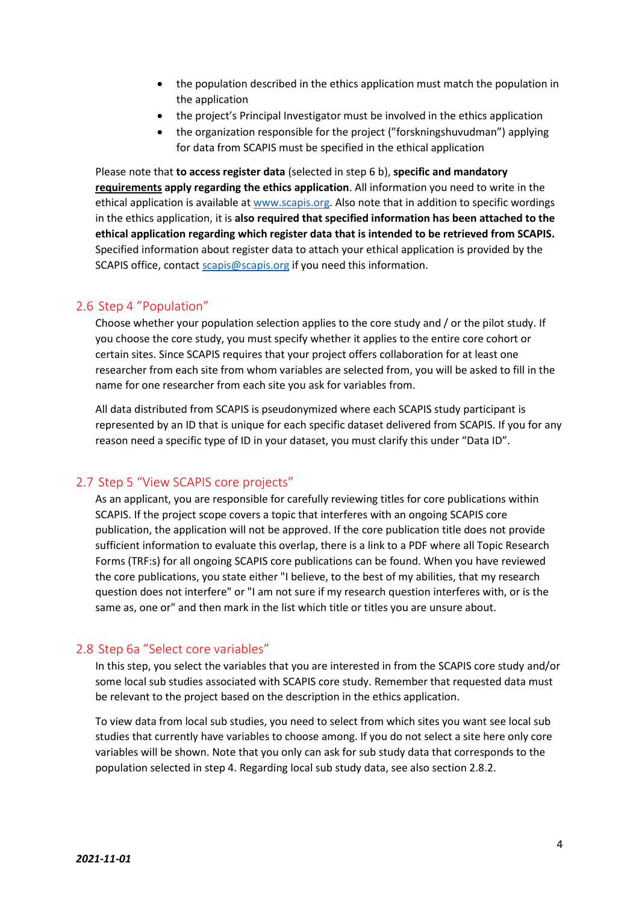- the population described in the ethics application must match the population in the application
- the project's Principal Investigator must be involved in the ethics application
- the organization responsible for the project ("forskningshuvudman") applying for data from SCAPIS must be specified in the ethical application

Please note that **to access register data** (selected in step 6 b), **specific and mandatory requirements apply regarding the ethics application**. All information you need to write in the ethical application is available at [www.scapis.org.](http://www.scapis.org/) Also note that in addition to specific wordings in the ethics application, it is **also required that specified information has been attached to the ethical application regarding which register data that is intended to be retrieved from SCAPIS.**  Specified information about register data to attach your ethical application is provided by the SCAPIS office, contac[t scapis@scapis.org](mailto:scapis@scapis.org) if you need this information.

## 2.6 Step 4 "Population"

<span id="page-3-0"></span>Choose whether your population selection applies to the core study and / or the pilot study. If you choose the core study, you must specify whether it applies to the entire core cohort or certain sites. Since SCAPIS requires that your project offers collaboration for at least one researcher from each site from whom variables are selected from, you will be asked to fill in the name for one researcher from each site you ask for variables from.

All data distributed from SCAPIS is pseudonymized where each SCAPIS study participant is represented by an ID that is unique for each specific dataset delivered from SCAPIS. If you for any reason need a specific type of ID in your dataset, you must clarify this under "Data ID".

## 2.7 Step 5 "View SCAPIS core projects"

<span id="page-3-1"></span>As an applicant, you are responsible for carefully reviewing titles for core publications within SCAPIS. If the project scope covers a topic that interferes with an ongoing SCAPIS core publication, the application will not be approved. If the core publication title does not provide sufficient information to evaluate this overlap, there is a link to a PDF where all Topic Research Forms (TRF:s) for all ongoing SCAPIS core publications can be found. When you have reviewed the core publications, you state either "I believe, to the best of my abilities, that my research question does not interfere" or "I am not sure if my research question interferes with, or is the same as, one or" and then mark in the list which title or titles you are unsure about.

### 2.8 Step 6a "Select core variables"

<span id="page-3-2"></span>In this step, you select the variables that you are interested in from the SCAPIS core study and/or some local sub studies associated with SCAPIS core study. Remember that requested data must be relevant to the project based on the description in the ethics application.

To view data from local sub studies, you need to select from which sites you want see local sub studies that currently have variables to choose among. If you do not select a site here only core variables will be shown. Note that you only can ask for sub study data that corresponds to the population selected in step 4. Regarding local sub study data, see also section 2.8.2.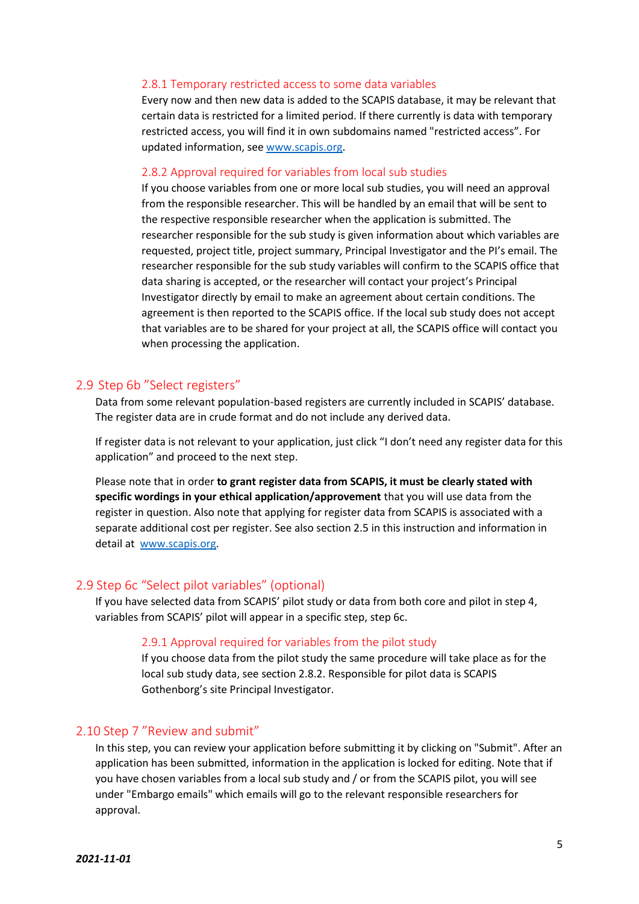#### <span id="page-4-0"></span>2.8.1 Temporary restricted access to some data variables

Every now and then new data is added to the SCAPIS database, it may be relevant that certain data is restricted for a limited period. If there currently is data with temporary restricted access, you will find it in own subdomains named "restricted access". For updated information, see [www.scapis.org.](http://www.scapis.org/)

#### <span id="page-4-1"></span>2.8.2 Approval required for variables from local sub studies

If you choose variables from one or more local sub studies, you will need an approval from the responsible researcher. This will be handled by an email that will be sent to the respective responsible researcher when the application is submitted. The researcher responsible for the sub study is given information about which variables are requested, project title, project summary, Principal Investigator and the PI's email. The researcher responsible for the sub study variables will confirm to the SCAPIS office that data sharing is accepted, or the researcher will contact your project's Principal Investigator directly by email to make an agreement about certain conditions. The agreement is then reported to the SCAPIS office. If the local sub study does not accept that variables are to be shared for your project at all, the SCAPIS office will contact you when processing the application.

### <span id="page-4-2"></span>2.9 Step 6b "Select registers"

Data from some relevant population-based registers are currently included in SCAPIS' database. The register data are in crude format and do not include any derived data.

If register data is not relevant to your application, just click "I don't need any register data for this application" and proceed to the next step.

Please note that in order **to grant register data from SCAPIS, it must be clearly stated with specific wordings in your ethical application/approvement** that you will use data from the register in question. Also note that applying for register data from SCAPIS is associated with a separate additional cost per register. See also section 2.5 in this instruction and information in detail at [www.scapis.org.](http://www.scapis.org/)

#### <span id="page-4-3"></span>2.9 Step 6c "Select pilot variables" (optional)

<span id="page-4-4"></span>If you have selected data from SCAPIS' pilot study or data from both core and pilot in step 4, variables from SCAPIS' pilot will appear in a specific step, step 6c.

#### 2.9.1 Approval required for variables from the pilot study

If you choose data from the pilot study the same procedure will take place as for the local sub study data, see section 2.8.2. Responsible for pilot data is SCAPIS Gothenborg's site Principal Investigator.

#### <span id="page-4-5"></span>2.10 Step 7 "Review and submit"

In this step, you can review your application before submitting it by clicking on "Submit". After an application has been submitted, information in the application is locked for editing. Note that if you have chosen variables from a local sub study and / or from the SCAPIS pilot, you will see under "Embargo emails" which emails will go to the relevant responsible researchers for approval.